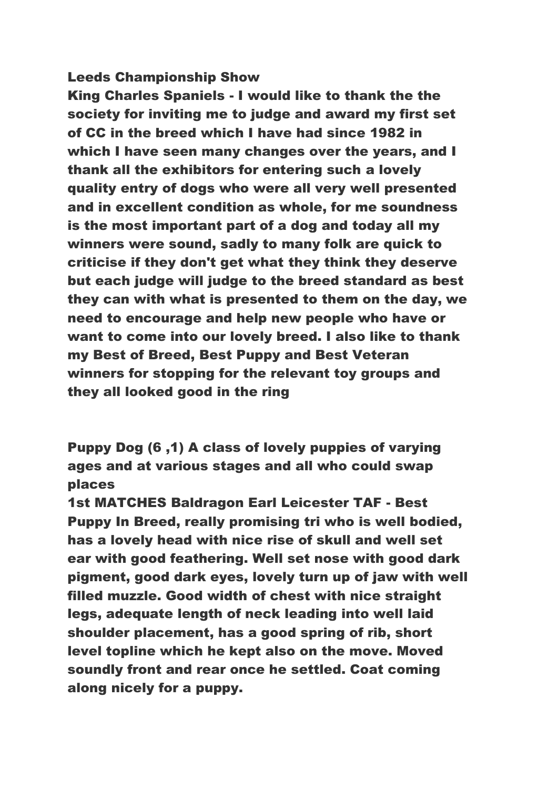### Leeds Championship Show

King Charles Spaniels - I would like to thank the the society for inviting me to judge and award my first set of CC in the breed which I have had since 1982 in which I have seen many changes over the years, and I thank all the exhibitors for entering such a lovely quality entry of dogs who were all very well presented and in excellent condition as whole, for me soundness is the most important part of a dog and today all my winners were sound, sadly to many folk are quick to criticise if they don't get what they think they deserve but each judge will judge to the breed standard as best they can with what is presented to them on the day, we need to encourage and help new people who have or want to come into our lovely breed. I also like to thank my Best of Breed, Best Puppy and Best Veteran winners for stopping for the relevant toy groups and they all looked good in the ring

Puppy Dog (6 ,1) A class of lovely puppies of varying ages and at various stages and all who could swap places

1st MATCHES Baldragon Earl Leicester TAF - Best Puppy In Breed, really promising tri who is well bodied, has a lovely head with nice rise of skull and well set ear with good feathering. Well set nose with good dark pigment, good dark eyes, lovely turn up of jaw with well filled muzzle. Good width of chest with nice straight legs, adequate length of neck leading into well laid shoulder placement, has a good spring of rib, short level topline which he kept also on the move. Moved soundly front and rear once he settled. Coat coming along nicely for a puppy.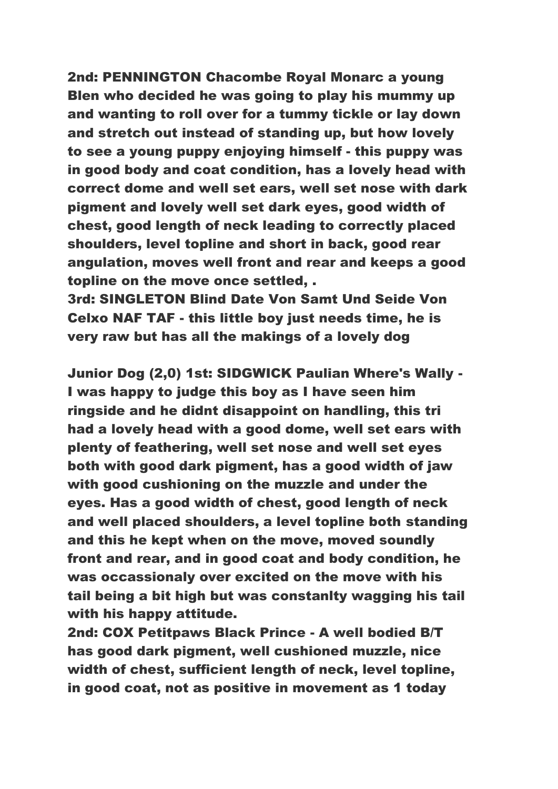2nd: PENNINGTON Chacombe Royal Monarc a young Blen who decided he was going to play his mummy up and wanting to roll over for a tummy tickle or lay down and stretch out instead of standing up, but how lovely to see a young puppy enjoying himself - this puppy was in good body and coat condition, has a lovely head with correct dome and well set ears, well set nose with dark pigment and lovely well set dark eyes, good width of chest, good length of neck leading to correctly placed shoulders, level topline and short in back, good rear angulation, moves well front and rear and keeps a good topline on the move once settled, .

3rd: SINGLETON Blind Date Von Samt Und Seide Von Celxo NAF TAF - this little boy just needs time, he is very raw but has all the makings of a lovely dog

Junior Dog (2,0) 1st: SIDGWICK Paulian Where's Wally - I was happy to judge this boy as I have seen him ringside and he didnt disappoint on handling, this tri had a lovely head with a good dome, well set ears with plenty of feathering, well set nose and well set eyes both with good dark pigment, has a good width of jaw with good cushioning on the muzzle and under the eyes. Has a good width of chest, good length of neck and well placed shoulders, a level topline both standing and this he kept when on the move, moved soundly front and rear, and in good coat and body condition, he was occassionaly over excited on the move with his tail being a bit high but was constanlty wagging his tail with his happy attitude.

2nd: COX Petitpaws Black Prince - A well bodied B/T has good dark pigment, well cushioned muzzle, nice width of chest, sufficient length of neck, level topline, in good coat, not as positive in movement as 1 today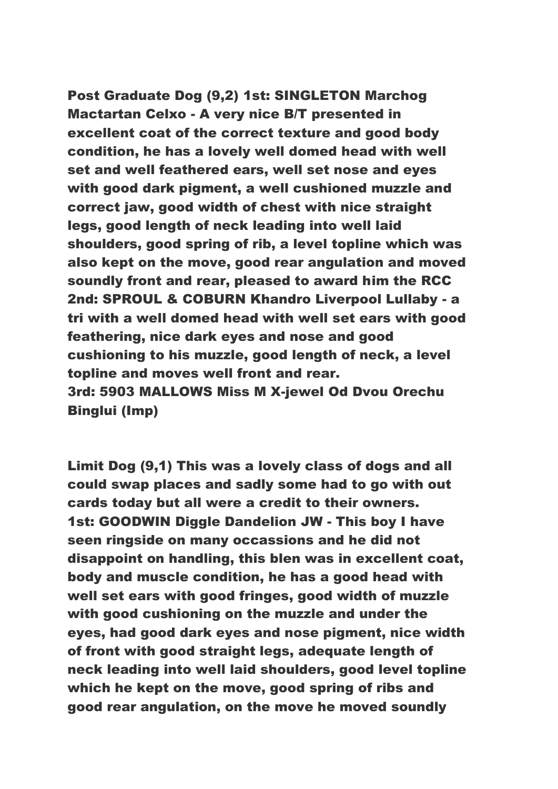Post Graduate Dog (9,2) 1st: SINGLETON Marchog Mactartan Celxo - A very nice B/T presented in excellent coat of the correct texture and good body condition, he has a lovely well domed head with well set and well feathered ears, well set nose and eyes with good dark pigment, a well cushioned muzzle and correct jaw, good width of chest with nice straight legs, good length of neck leading into well laid shoulders, good spring of rib, a level topline which was also kept on the move, good rear angulation and moved soundly front and rear, pleased to award him the RCC 2nd: SPROUL & COBURN Khandro Liverpool Lullaby - a tri with a well domed head with well set ears with good feathering, nice dark eyes and nose and good cushioning to his muzzle, good length of neck, a level topline and moves well front and rear. 3rd: 5903 MALLOWS Miss M X-jewel Od Dvou Orechu Binglui (Imp)

Limit Dog (9,1) This was a lovely class of dogs and all could swap places and sadly some had to go with out cards today but all were a credit to their owners. 1st: GOODWIN Diggle Dandelion JW - This boy I have seen ringside on many occassions and he did not disappoint on handling, this blen was in excellent coat, body and muscle condition, he has a good head with well set ears with good fringes, good width of muzzle with good cushioning on the muzzle and under the eyes, had good dark eyes and nose pigment, nice width of front with good straight legs, adequate length of neck leading into well laid shoulders, good level topline which he kept on the move, good spring of ribs and good rear angulation, on the move he moved soundly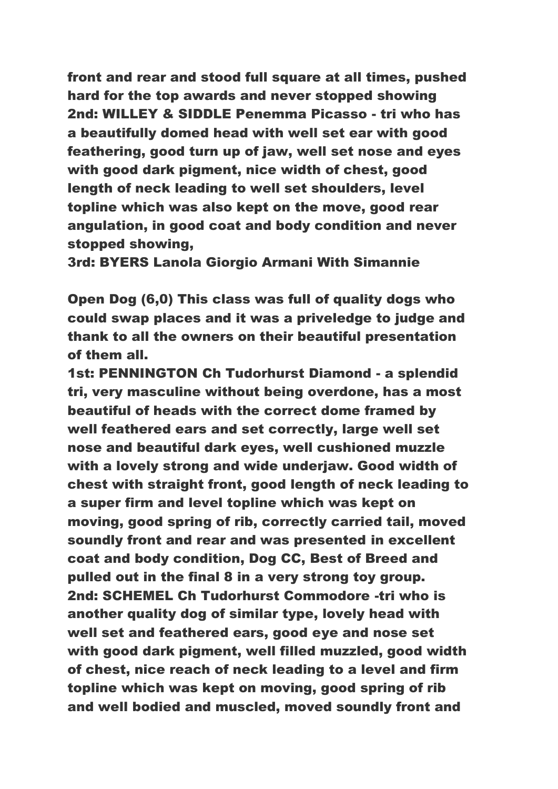front and rear and stood full square at all times, pushed hard for the top awards and never stopped showing 2nd: WILLEY & SIDDLE Penemma Picasso - tri who has a beautifully domed head with well set ear with good feathering, good turn up of jaw, well set nose and eyes with good dark pigment, nice width of chest, good length of neck leading to well set shoulders, level topline which was also kept on the move, good rear angulation, in good coat and body condition and never stopped showing,

3rd: BYERS Lanola Giorgio Armani With Simannie

Open Dog (6,0) This class was full of quality dogs who could swap places and it was a priveledge to judge and thank to all the owners on their beautiful presentation of them all.

1st: PENNINGTON Ch Tudorhurst Diamond - a splendid tri, very masculine without being overdone, has a most beautiful of heads with the correct dome framed by well feathered ears and set correctly, large well set nose and beautiful dark eyes, well cushioned muzzle with a lovely strong and wide underjaw. Good width of chest with straight front, good length of neck leading to a super firm and level topline which was kept on moving, good spring of rib, correctly carried tail, moved soundly front and rear and was presented in excellent coat and body condition, Dog CC, Best of Breed and pulled out in the final 8 in a very strong toy group. 2nd: SCHEMEL Ch Tudorhurst Commodore -tri who is another quality dog of similar type, lovely head with well set and feathered ears, good eye and nose set with good dark pigment, well filled muzzled, good width of chest, nice reach of neck leading to a level and firm topline which was kept on moving, good spring of rib and well bodied and muscled, moved soundly front and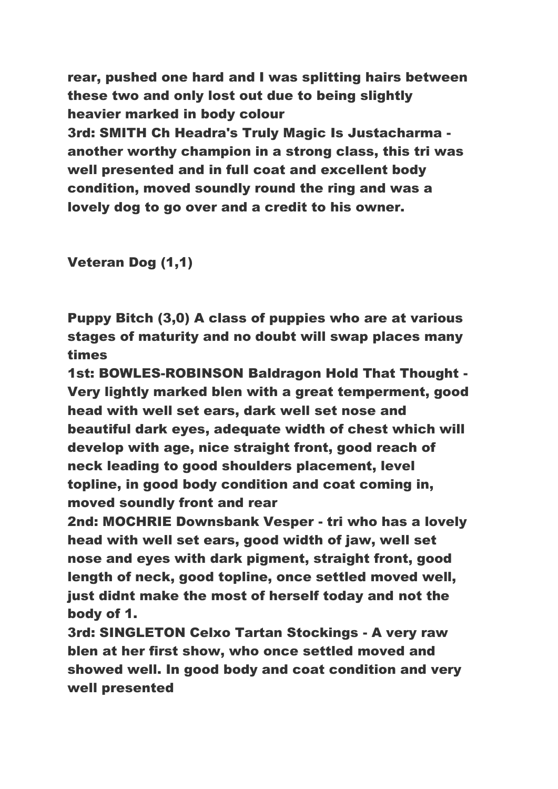rear, pushed one hard and I was splitting hairs between these two and only lost out due to being slightly heavier marked in body colour 3rd: SMITH Ch Headra's Truly Magic Is Justacharma another worthy champion in a strong class, this tri was well presented and in full coat and excellent body condition, moved soundly round the ring and was a lovely dog to go over and a credit to his owner.

Veteran Dog (1,1)

Puppy Bitch (3,0) A class of puppies who are at various stages of maturity and no doubt will swap places many times

1st: BOWLES-ROBINSON Baldragon Hold That Thought - Very lightly marked blen with a great temperment, good head with well set ears, dark well set nose and beautiful dark eyes, adequate width of chest which will develop with age, nice straight front, good reach of neck leading to good shoulders placement, level topline, in good body condition and coat coming in, moved soundly front and rear

2nd: MOCHRIE Downsbank Vesper - tri who has a lovely head with well set ears, good width of jaw, well set nose and eyes with dark pigment, straight front, good length of neck, good topline, once settled moved well, just didnt make the most of herself today and not the body of 1.

3rd: SINGLETON Celxo Tartan Stockings - A very raw blen at her first show, who once settled moved and showed well. In good body and coat condition and very well presented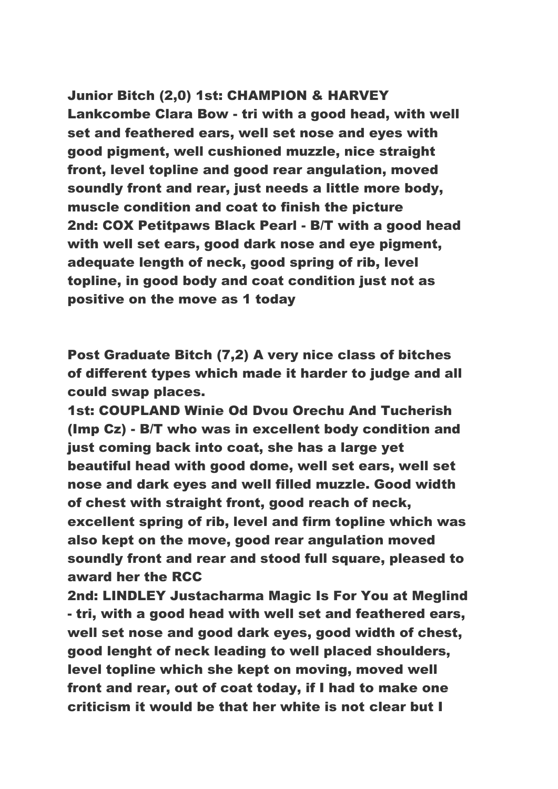## Junior Bitch (2,0) 1st: CHAMPION & HARVEY

Lankcombe Clara Bow - tri with a good head, with well set and feathered ears, well set nose and eyes with good pigment, well cushioned muzzle, nice straight front, level topline and good rear angulation, moved soundly front and rear, just needs a little more body, muscle condition and coat to finish the picture 2nd: COX Petitpaws Black Pearl - B/T with a good head with well set ears, good dark nose and eye pigment, adequate length of neck, good spring of rib, level topline, in good body and coat condition just not as positive on the move as 1 today

Post Graduate Bitch (7,2) A very nice class of bitches of different types which made it harder to judge and all could swap places.

1st: COUPLAND Winie Od Dvou Orechu And Tucherish (Imp Cz) - B/T who was in excellent body condition and just coming back into coat, she has a large yet beautiful head with good dome, well set ears, well set nose and dark eyes and well filled muzzle. Good width of chest with straight front, good reach of neck, excellent spring of rib, level and firm topline which was also kept on the move, good rear angulation moved soundly front and rear and stood full square, pleased to award her the RCC

2nd: LINDLEY Justacharma Magic Is For You at Meglind - tri, with a good head with well set and feathered ears, well set nose and good dark eyes, good width of chest, good lenght of neck leading to well placed shoulders, level topline which she kept on moving, moved well front and rear, out of coat today, if I had to make one criticism it would be that her white is not clear but I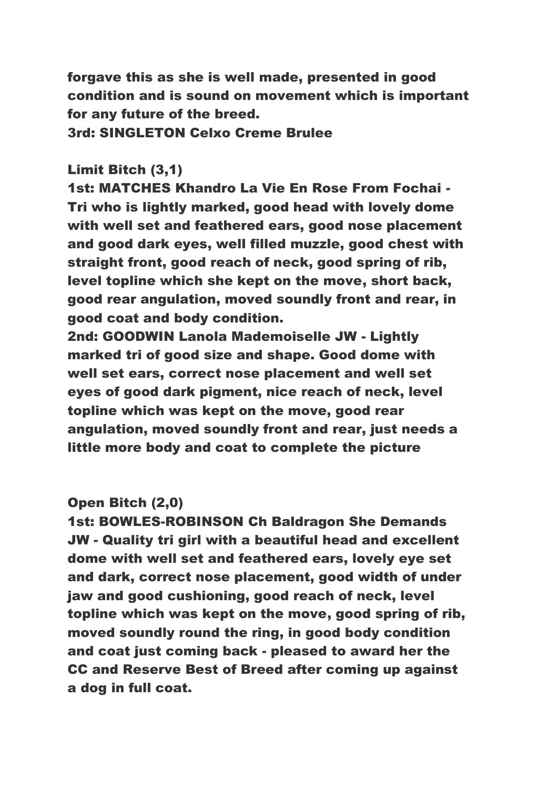forgave this as she is well made, presented in good condition and is sound on movement which is important for any future of the breed.

3rd: SINGLETON Celxo Creme Brulee

# Limit Bitch (3,1)

1st: MATCHES Khandro La Vie En Rose From Fochai - Tri who is lightly marked, good head with lovely dome with well set and feathered ears, good nose placement and good dark eyes, well filled muzzle, good chest with straight front, good reach of neck, good spring of rib, level topline which she kept on the move, short back, good rear angulation, moved soundly front and rear, in good coat and body condition.

2nd: GOODWIN Lanola Mademoiselle JW - Lightly marked tri of good size and shape. Good dome with well set ears, correct nose placement and well set eyes of good dark pigment, nice reach of neck, level topline which was kept on the move, good rear angulation, moved soundly front and rear, just needs a little more body and coat to complete the picture

### Open Bitch (2,0)

1st: BOWLES-ROBINSON Ch Baldragon She Demands JW - Quality tri girl with a beautiful head and excellent dome with well set and feathered ears, lovely eye set and dark, correct nose placement, good width of under jaw and good cushioning, good reach of neck, level topline which was kept on the move, good spring of rib, moved soundly round the ring, in good body condition and coat just coming back - pleased to award her the CC and Reserve Best of Breed after coming up against a dog in full coat.